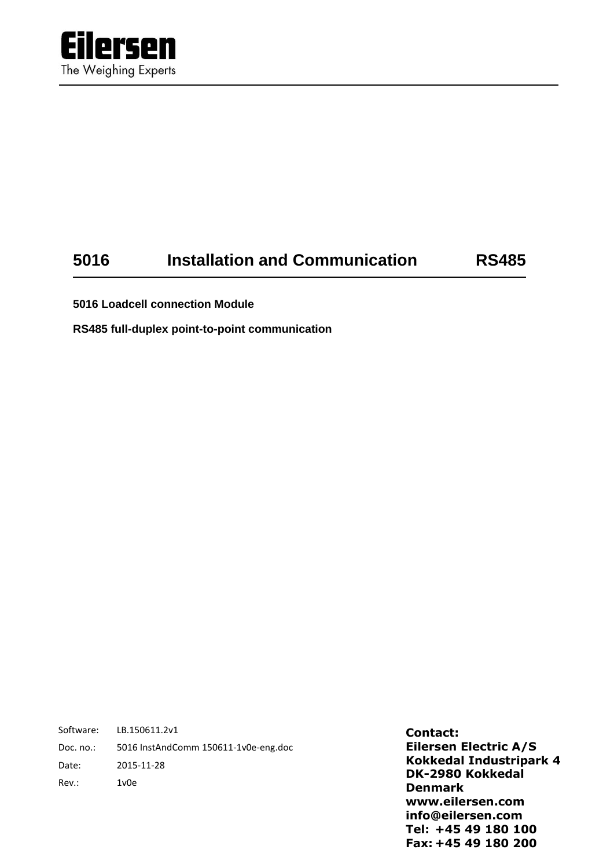

# **5016 Installation and Communication RS485**

**5016 Loadcell connection Module**

**RS485 full-duplex point-to-point communication**

Software: LB.150611.2v1 Doc. no.: 5016 InstAndComm 150611-1v0e-eng.doc Date: 2015-11-28 Rev.: 1v0e

**Contact: Eilersen Electric A/S Kokkedal Industripark 4 DK-2980 Kokkedal Denmark www.eilersen.com info@eilersen.com Tel: +45 49 180 100 Fax: +45 49 180 200**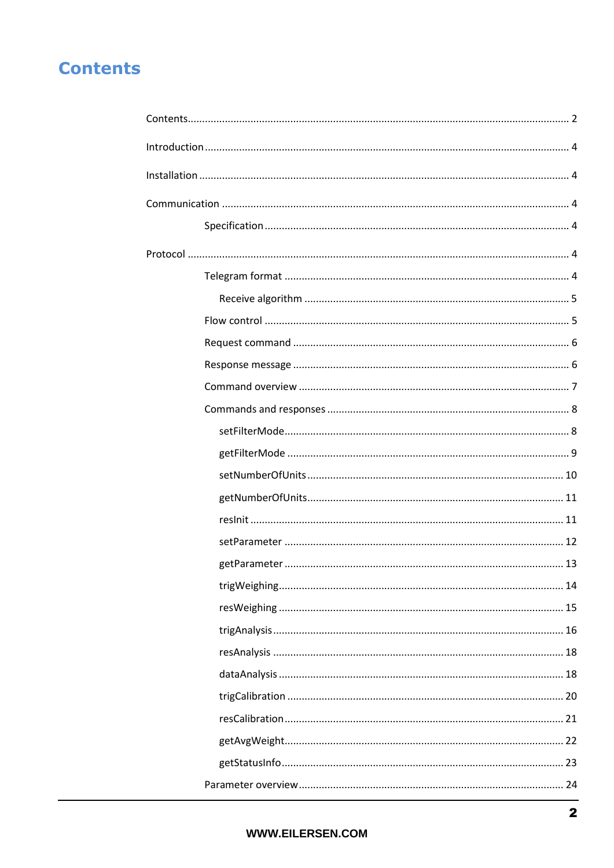# <span id="page-1-0"></span>**Contents**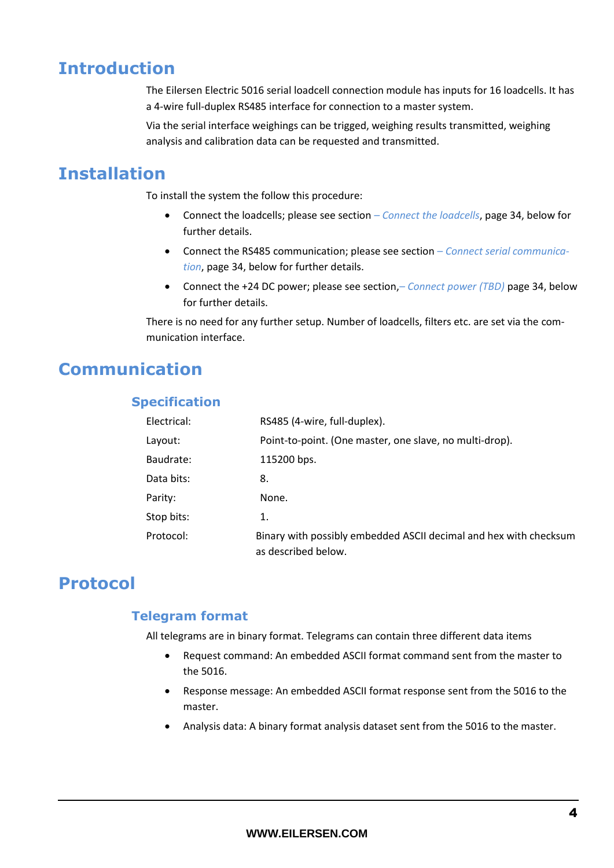# <span id="page-3-0"></span>**Introduction**

The Eilersen Electric 5016 serial loadcell connection module has inputs for 16 loadcells. It has a 4-wire full-duplex RS485 interface for connection to a master system.

Via the serial interface weighings can be trigged, weighing results transmitted, weighing analysis and calibration data can be requested and transmitted.

# <span id="page-3-1"></span>**Installation**

To install the system the follow this procedure:

- Connect the loadcells; please see section *– [Connect the loadcells](#page-33-2)*, pag[e 34,](#page-33-2) below for further details.
- Connect the RS485 communication; please see section *– [Connect serial communica](#page-33-3)[tion](#page-33-3)*, pag[e 34,](#page-33-3) below for further details.
- Connect the +24 DC power; please see section,*– [Connect power](#page-33-4) (TBD)* page [34,](#page-33-4) below for further details.

There is no need for any further setup. Number of loadcells, filters etc. are set via the communication interface.

# <span id="page-3-3"></span><span id="page-3-2"></span>**Communication**

## **Specification**

| Electrical: | RS485 (4-wire, full-duplex).                                                             |
|-------------|------------------------------------------------------------------------------------------|
| Layout:     | Point-to-point. (One master, one slave, no multi-drop).                                  |
| Baudrate:   | 115200 bps.                                                                              |
| Data bits:  | 8.                                                                                       |
| Parity:     | None.                                                                                    |
| Stop bits:  | 1.                                                                                       |
| Protocol:   | Binary with possibly embedded ASCII decimal and hex with checksum<br>as described below. |

# <span id="page-3-5"></span><span id="page-3-4"></span>**Protocol**

## **Telegram format**

All telegrams are in binary format. Telegrams can contain three different data items

- Request command: An embedded ASCII format command sent from the master to the 5016.
- Response message: An embedded ASCII format response sent from the 5016 to the master.
- Analysis data: A binary format analysis dataset sent from the 5016 to the master.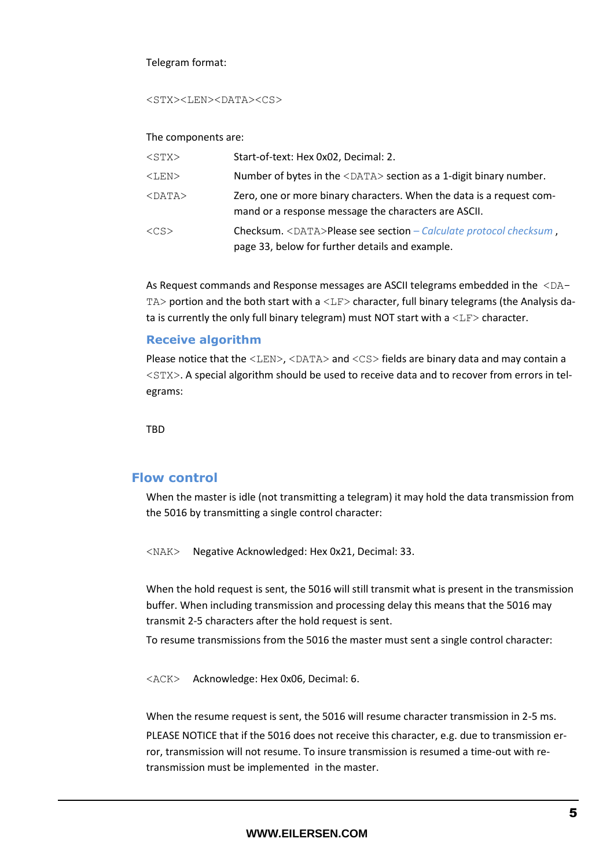#### Telegram format:

<STX><LEN><DATA><CS>

#### The components are:

| $<$ STX $>$  | Start-of-text: Hex 0x02, Decimal: 2.                                                                                         |
|--------------|------------------------------------------------------------------------------------------------------------------------------|
| $<$ LEN $>$  | Number of bytes in the <data> section as a 1-digit binary number.</data>                                                     |
| $<$ DATA $>$ | Zero, one or more binary characters. When the data is a request com-<br>mand or a response message the characters are ASCII. |
| $<$ CS $>$   | Checksum. <data>Please see section – Calculate protocol checksum,<br/>page 33, below for further details and example.</data> |

As Request commands and Response messages are ASCII telegrams embedded in the  $\leq$ DA $-$ TA> portion and the both start with a <LF> character, full binary telegrams (the Analysis data is currently the only full binary telegram) must NOT start with a  $\langle\text{LF}\rangle$  character.

## <span id="page-4-0"></span>**Receive algorithm**

Please notice that the  $\langle\text{LEN}\rangle$ ,  $\langle\text{DATA}\rangle$  and  $\langle\text{CS}\rangle$  fields are binary data and may contain a <STX>. A special algorithm should be used to receive data and to recover from errors in telegrams:

**TRD** 

## <span id="page-4-1"></span>**Flow control**

When the master is idle (not transmitting a telegram) it may hold the data transmission from the 5016 by transmitting a single control character:

<NAK> Negative Acknowledged: Hex 0x21, Decimal: 33.

When the hold request is sent, the 5016 will still transmit what is present in the transmission buffer. When including transmission and processing delay this means that the 5016 may transmit 2-5 characters after the hold request is sent.

To resume transmissions from the 5016 the master must sent a single control character:

<ACK> Acknowledge: Hex 0x06, Decimal: 6.

When the resume request is sent, the 5016 will resume character transmission in 2-5 ms.

PLEASE NOTICE that if the 5016 does not receive this character, e.g. due to transmission error, transmission will not resume. To insure transmission is resumed a time-out with retransmission must be implemented in the master.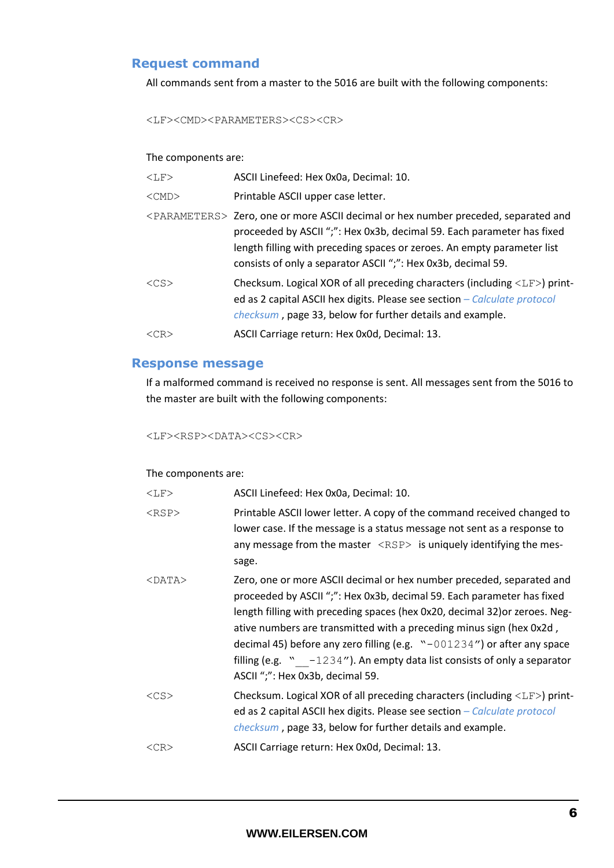## <span id="page-5-0"></span>**Request command**

All commands sent from a master to the 5016 are built with the following components:

<LF><CMD><PARAMETERS><CS><CR>

#### The components are:

| $<$ T,F $>$          | ASCII Linefeed: Hex 0x0a, Decimal: 10.                                                                                                                                                                                                                                                                                   |
|----------------------|--------------------------------------------------------------------------------------------------------------------------------------------------------------------------------------------------------------------------------------------------------------------------------------------------------------------------|
| $<$ CMD $>$          | Printable ASCII upper case letter.                                                                                                                                                                                                                                                                                       |
|                      | <parameters> Zero, one or more ASCII decimal or hex number preceded, separated and<br/>proceeded by ASCII ";": Hex 0x3b, decimal 59. Each parameter has fixed<br/>length filling with preceding spaces or zeroes. An empty parameter list<br/>consists of only a separator ASCII ";": Hex 0x3b, decimal 59.</parameters> |
| $\langle$ CS $>$     | Checksum. Logical XOR of all preceding characters (including $\langle \text{LF} \rangle$ ) print-<br>ed as 2 capital ASCII hex digits. Please see section $-\textit{Calculate}$ protocol<br><i>checksum</i> , page 33, below for further details and example.                                                            |
| $\langle CR \rangle$ | ASCII Carriage return: Hex 0x0d, Decimal: 13.                                                                                                                                                                                                                                                                            |
|                      |                                                                                                                                                                                                                                                                                                                          |

## <span id="page-5-1"></span>**Response message**

If a malformed command is received no response is sent. All messages sent from the 5016 to the master are built with the following components:

#### <LF><RSP><DATA><CS><CR>

#### The components are:

| $<$ LF $>$   | ASCII Linefeed: Hex 0x0a, Decimal: 10.                                                                                                                                                                                                                                                                                                                                                                                                                                                                    |
|--------------|-----------------------------------------------------------------------------------------------------------------------------------------------------------------------------------------------------------------------------------------------------------------------------------------------------------------------------------------------------------------------------------------------------------------------------------------------------------------------------------------------------------|
| $<$ RSP $>$  | Printable ASCII lower letter. A copy of the command received changed to<br>lower case. If the message is a status message not sent as a response to<br>any message from the master $\langle RSP \rangle$ is uniquely identifying the mes-<br>sage.                                                                                                                                                                                                                                                        |
| $<$ DATA $>$ | Zero, one or more ASCII decimal or hex number preceded, separated and<br>proceeded by ASCII ";": Hex 0x3b, decimal 59. Each parameter has fixed<br>length filling with preceding spaces (hex 0x20, decimal 32) or zeroes. Neg-<br>ative numbers are transmitted with a preceding minus sign (hex 0x2d,<br>decimal 45) before any zero filling (e.g. "-001234") or after any space<br>filling (e.g. $\degree$ -1234"). An empty data list consists of only a separator<br>ASCII ";": Hex 0x3b, decimal 59. |
| $<$ CS $>$   | Checksum. Logical XOR of all preceding characters (including $\langle \text{LF} \rangle$ ) print-<br>ed as 2 capital ASCII hex digits. Please see section – Calculate protocol<br>checksum, page 33, below for further details and example.                                                                                                                                                                                                                                                               |
| $<$ CR $>$   | ASCII Carriage return: Hex 0x0d, Decimal: 13.                                                                                                                                                                                                                                                                                                                                                                                                                                                             |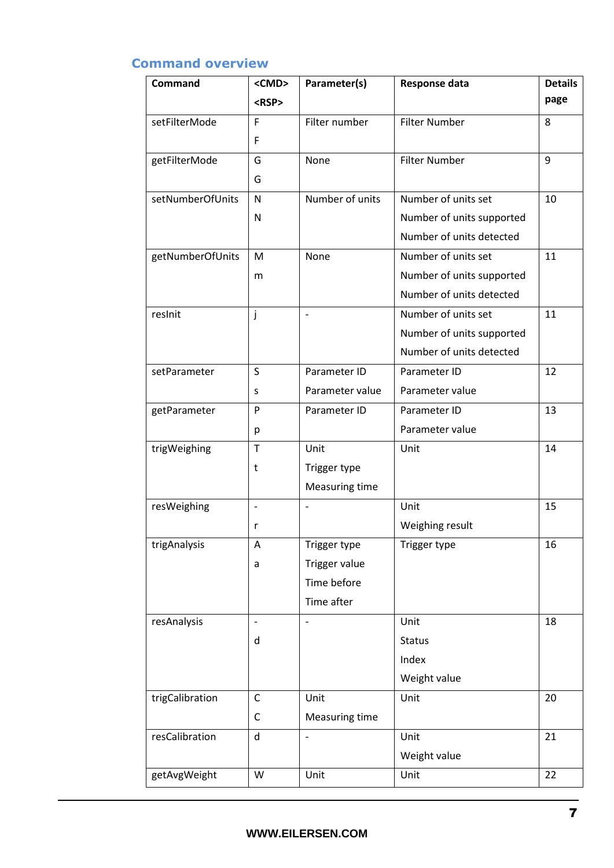## <span id="page-6-0"></span>**Command overview**

| <b>Command</b>   | <cmd></cmd>              | Parameter(s)                 | Response data             | <b>Details</b> |
|------------------|--------------------------|------------------------------|---------------------------|----------------|
|                  | <rsp></rsp>              |                              |                           | page           |
| setFilterMode    | F                        | Filter number                | <b>Filter Number</b>      | 8              |
|                  | F                        |                              |                           |                |
| getFilterMode    | G                        | None                         | <b>Filter Number</b>      | 9              |
|                  | G                        |                              |                           |                |
| setNumberOfUnits | N                        | Number of units              | Number of units set       | 10             |
|                  | Ν                        |                              | Number of units supported |                |
|                  |                          |                              | Number of units detected  |                |
| getNumberOfUnits | M                        | None                         | Number of units set       | 11             |
|                  | m                        |                              | Number of units supported |                |
|                  |                          |                              | Number of units detected  |                |
| reslnit          | j                        | $\overline{\phantom{m}}$     | Number of units set       | 11             |
|                  |                          |                              | Number of units supported |                |
|                  |                          |                              | Number of units detected  |                |
| setParameter     | $\mathsf S$              | Parameter ID                 | Parameter ID              | 12             |
|                  | S                        | Parameter value              | Parameter value           |                |
| getParameter     | P                        | Parameter ID                 | Parameter ID              | 13             |
|                  | р                        |                              | Parameter value           |                |
| trigWeighing     | $\mathsf{T}$             | Unit                         | Unit                      | 14             |
|                  | t                        | Trigger type                 |                           |                |
|                  |                          | Measuring time               |                           |                |
| resWeighing      | $\overline{\phantom{a}}$ | $\qquad \qquad -$            | Unit                      | 15             |
|                  | r                        |                              | Weighing result           |                |
| trigAnalysis     | Α                        | Trigger type                 | Trigger type              | 16             |
|                  | a                        | Trigger value                |                           |                |
|                  |                          | Time before                  |                           |                |
|                  |                          | Time after                   |                           |                |
| resAnalysis      |                          | $\overline{\phantom{a}}$     | Unit                      | 18             |
|                  | d                        |                              | <b>Status</b>             |                |
|                  |                          |                              | Index                     |                |
|                  |                          |                              | Weight value              |                |
| trigCalibration  | C                        | Unit                         | Unit                      | $20\,$         |
|                  | С                        | Measuring time               |                           |                |
| resCalibration   | $\mathsf{d}$             | $\qquad \qquad \blacksquare$ | Unit                      | 21             |
|                  |                          |                              | Weight value              |                |
| getAvgWeight     | W                        | Unit                         | Unit                      | 22             |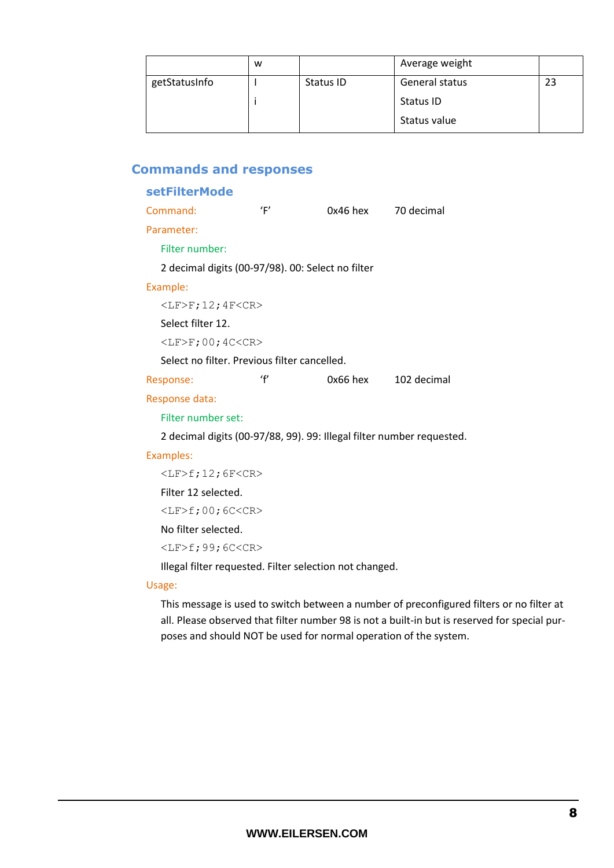|               | w |           | Average weight   |  |
|---------------|---|-----------|------------------|--|
| getStatusInfo |   | Status ID | General status   |  |
|               |   |           | <b>Status ID</b> |  |
|               |   |           | Status value     |  |

## <span id="page-7-1"></span><span id="page-7-0"></span>**Commands and responses**

### **setFilterMode**

| Command:                                     | 'F' | 0x46 hex                                                              | 70 decimal  |
|----------------------------------------------|-----|-----------------------------------------------------------------------|-------------|
| Parameter:                                   |     |                                                                       |             |
| Filter number:                               |     |                                                                       |             |
|                                              |     | 2 decimal digits (00-97/98). 00: Select no filter                     |             |
| Example:                                     |     |                                                                       |             |
| $\langle$ LF>F;12;4F <cr></cr>               |     |                                                                       |             |
| Select filter 12.                            |     |                                                                       |             |
| $\langle$ LF>F;00;4C $<$ CR>                 |     |                                                                       |             |
| Select no filter. Previous filter cancelled. |     |                                                                       |             |
| Response:                                    | ʻf  | 0x66 hex                                                              | 102 decimal |
| Response data:                               |     |                                                                       |             |
| Filter number set:                           |     |                                                                       |             |
|                                              |     | 2 decimal digits (00-97/88, 99). 99: Illegal filter number requested. |             |
| Examples:                                    |     |                                                                       |             |
| $\langle$ LF>f;12;6F $<$ CR>                 |     |                                                                       |             |

Filter 12 selected.

<LF>f;00;6C<CR>

No filter selected.

<LF>f;99;6C<CR>

Illegal filter requested. Filter selection not changed.

#### Usage:

This message is used to switch between a number of preconfigured filters or no filter at all. Please observed that filter number 98 is not a built-in but is reserved for special purposes and should NOT be used for normal operation of the system.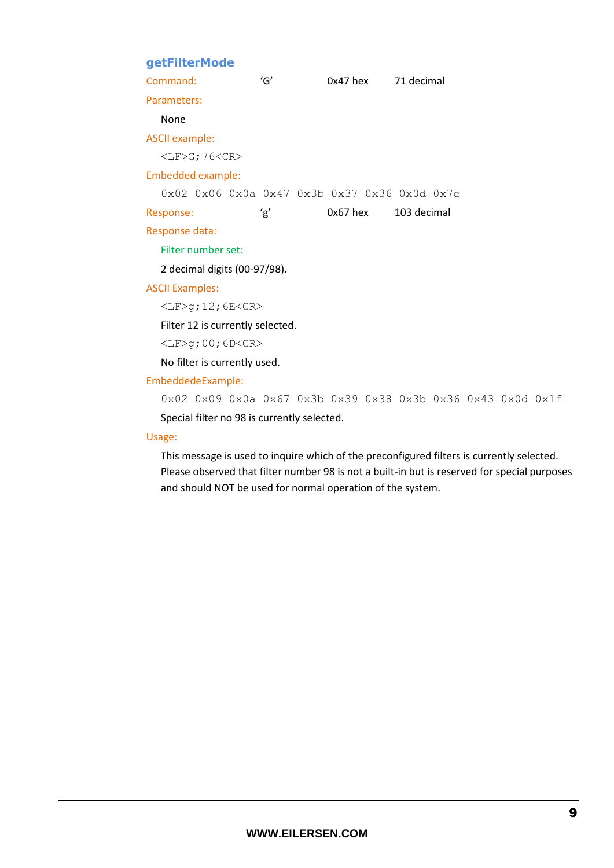## <span id="page-8-0"></span>**getFilterMode**

| Command:                           | 'G' | 0x47 hex                                     | 71 decimal  |
|------------------------------------|-----|----------------------------------------------|-------------|
| Parameters:                        |     |                                              |             |
| None                               |     |                                              |             |
| <b>ASCII example:</b>              |     |                                              |             |
| $<$ LF>G; 76 <cr></cr>             |     |                                              |             |
| Embedded example:                  |     |                                              |             |
|                                    |     | 0x02 0x06 0x0a 0x47 0x3b 0x37 0x36 0x0d 0x7e |             |
|                                    |     |                                              |             |
| Response:                          | 'g' | 0x67 hex                                     | 103 decimal |
| Response data:                     |     |                                              |             |
| Filter number set:                 |     |                                              |             |
| 2 decimal digits (00-97/98).       |     |                                              |             |
| <b>ASCII Examples:</b>             |     |                                              |             |
| $\langle$ LF>g;12;6E $\langle$ CR> |     |                                              |             |

<LF>g;00;6D<CR>

No filter is currently used.

#### EmbeddedeExample:

0x02 0x09 0x0a 0x67 0x3b 0x39 0x38 0x3b 0x36 0x43 0x0d 0x1f Special filter no 98 is currently selected.

#### Usage:

This message is used to inquire which of the preconfigured filters is currently selected. Please observed that filter number 98 is not a built-in but is reserved for special purposes and should NOT be used for normal operation of the system.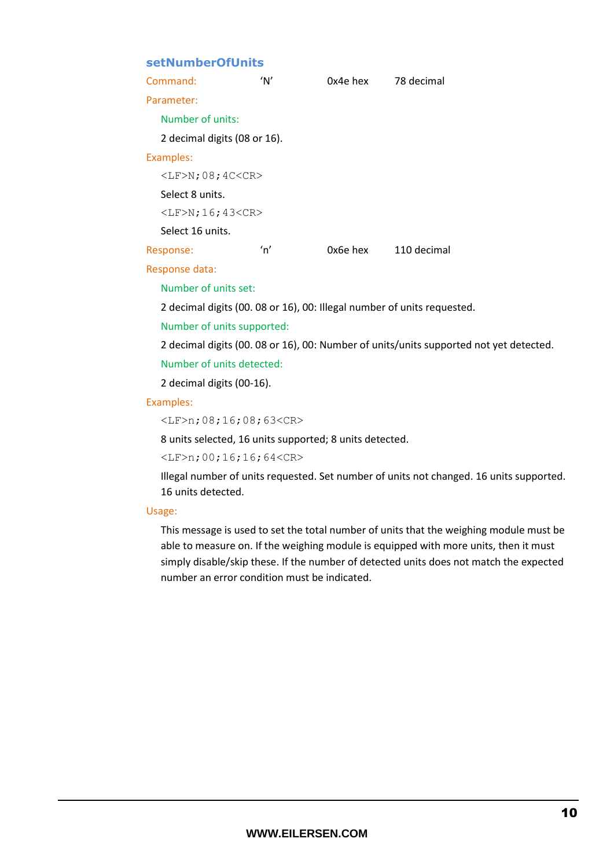## <span id="page-9-0"></span>**setNumberOfUnits**

| Command:                     | 'Nʻ | 0x4e hex | 78 decimal  |  |  |
|------------------------------|-----|----------|-------------|--|--|
| Parameter:                   |     |          |             |  |  |
| Number of units:             |     |          |             |  |  |
| 2 decimal digits (08 or 16). |     |          |             |  |  |
| Examples:                    |     |          |             |  |  |
| $\langle$ LF>N;08;4C $<$ CR> |     |          |             |  |  |
| Select 8 units.              |     |          |             |  |  |
| $<$ LF>N; 16; 43 <cr></cr>   |     |          |             |  |  |
| Select 16 units.             |     |          |             |  |  |
| Response:                    | 'n' | 0x6e hex | 110 decimal |  |  |

#### Response data:

Number of units set:

2 decimal digits (00. 08 or 16), 00: Illegal number of units requested.

Number of units supported:

2 decimal digits (00. 08 or 16), 00: Number of units/units supported not yet detected.

### Number of units detected:

2 decimal digits (00-16).

#### Examples:

```
<LF>n;08;16;08;63<CR>
```
8 units selected, 16 units supported; 8 units detected.

<LF>n;00;16;16;64<CR>

Illegal number of units requested. Set number of units not changed. 16 units supported. 16 units detected.

#### Usage:

This message is used to set the total number of units that the weighing module must be able to measure on. If the weighing module is equipped with more units, then it must simply disable/skip these. If the number of detected units does not match the expected number an error condition must be indicated.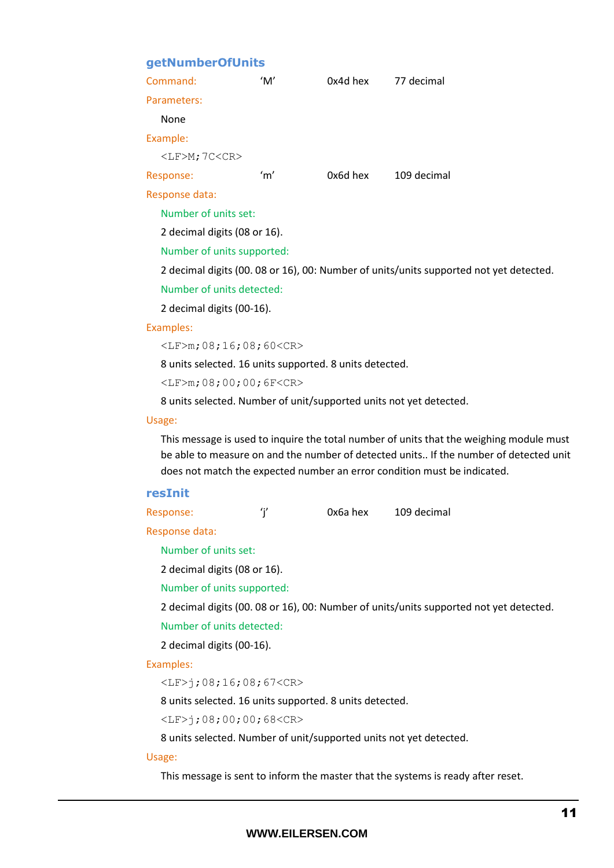### <span id="page-10-0"></span>**getNumberOfUnits**

| Command:                         | 'M' | 0x4d hex | 77 decimal                                                                            |  |
|----------------------------------|-----|----------|---------------------------------------------------------------------------------------|--|
| Parameters:                      |     |          |                                                                                       |  |
| None                             |     |          |                                                                                       |  |
| Example:                         |     |          |                                                                                       |  |
| $\langle$ LF>M; 7C $\langle$ CR> |     |          |                                                                                       |  |
| Response:                        | 'm' | 0x6d hex | 109 decimal                                                                           |  |
| Response data:                   |     |          |                                                                                       |  |
| Number of units set:             |     |          |                                                                                       |  |
| 2 decimal digits (08 or 16).     |     |          |                                                                                       |  |
| Number of units supported:       |     |          |                                                                                       |  |
|                                  |     |          | 2 decimal digits (00.08 or 16), 00: Number of units/units supported not yet detected. |  |
| Number of units detected:        |     |          |                                                                                       |  |
|                                  |     |          |                                                                                       |  |

2 decimal digits (00-16).

#### Examples:

<LF>m;08;16;08;60<CR>

8 units selected. 16 units supported. 8 units detected.

<LF>m;08;00;00;6F<CR>

8 units selected. Number of unit/supported units not yet detected.

#### Usage:

This message is used to inquire the total number of units that the weighing module must be able to measure on and the number of detected units.. If the number of detected unit does not match the expected number an error condition must be indicated.

#### <span id="page-10-1"></span>**resInit**

| 0x6a hex | 109 decimal |
|----------|-------------|
|          |             |

Response data:

Number of units set:

2 decimal digits (08 or 16).

Number of units supported:

2 decimal digits (00. 08 or 16), 00: Number of units/units supported not yet detected.

Number of units detected:

2 decimal digits (00-16).

#### Examples:

<LF>j;08;16;08;67<CR>

8 units selected. 16 units supported. 8 units detected.

<LF>j;08;00;00;68<CR>

8 units selected. Number of unit/supported units not yet detected.

#### Usage:

This message is sent to inform the master that the systems is ready after reset.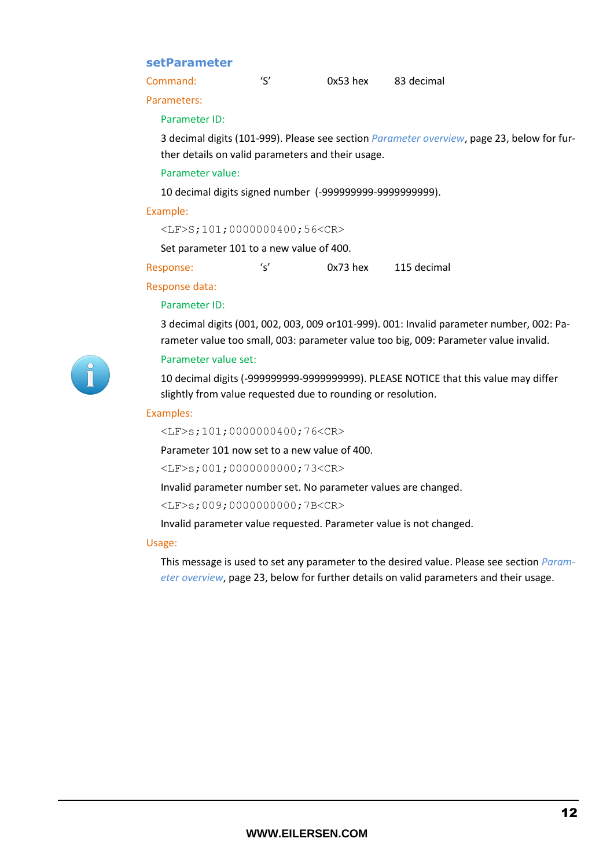### <span id="page-11-0"></span>**setParameter**

| Command: | $\epsilon$ | $0x53$ hex | 83 decimal |
|----------|------------|------------|------------|
|          |            |            |            |

Parameters:

#### Parameter ID:

3 decimal digits (101-999). Please see section *[Parameter overview](#page-23-0)*, page [23,](#page-22-1) below for further details on valid parameters and their usage.

#### Parameter value:

10 decimal digits signed number (-999999999-9999999999).

#### Example:

```
<LF>S;101;0000000400;56<CR>
```
Set parameter 101 to a new value of 400.

Response: 's' 0x73 hex 115 decimal

### Response data:

#### Parameter ID:

3 decimal digits (001, 002, 003, 009 or101-999). 001: Invalid parameter number, 002: Parameter value too small, 003: parameter value too big, 009: Parameter value invalid.

#### Parameter value set:

10 decimal digits (-999999999-9999999999). PLEASE NOTICE that this value may differ slightly from value requested due to rounding or resolution.

#### Examples:

<LF>s;101;0000000400;76<CR>

Parameter 101 now set to a new value of 400.

<LF>s;001;0000000000;73<CR>

Invalid parameter number set. No parameter values are changed.

<LF>s;009;0000000000;7B<CR>

Invalid parameter value requested. Parameter value is not changed.

#### Usage:

This message is used to set any parameter to the desired value. Please see section *[Param](#page-23-0)[eter overview](#page-23-0)*, page [23,](#page-22-1) below for further details on valid parameters and their usage.

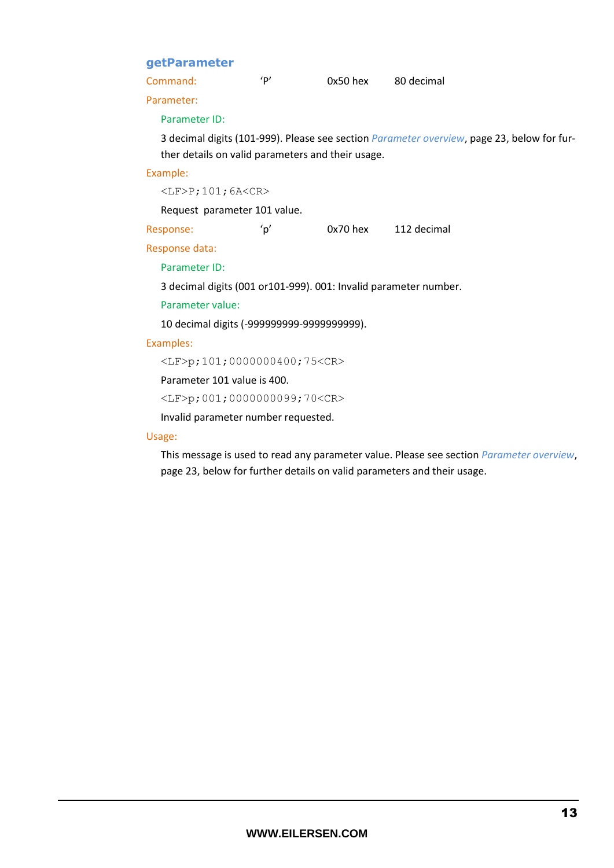## <span id="page-12-0"></span>**getParameter**

| $0x50$ hex | 80 decimal |
|------------|------------|
|            |            |

Parameter:

#### Parameter ID:

3 decimal digits (101-999). Please see section *[Parameter overview](#page-23-0)*, page [23,](#page-22-1) below for further details on valid parameters and their usage.

#### Example:

 $<$ LF>P;101;6A $<$ CR>

Request parameter 101 value.

| Response: | $\sim$ | $0x70$ hex | 112 decimal |
|-----------|--------|------------|-------------|
|-----------|--------|------------|-------------|

Response data:

#### Parameter ID:

3 decimal digits (001 or101-999). 001: Invalid parameter number.

Parameter value:

10 decimal digits (-999999999-9999999999).

#### Examples:

<LF>p;101;0000000400;75<CR>

Parameter 101 value is 400.

<LF>p;001;0000000099;70<CR>

Invalid parameter number requested.

#### Usage:

This message is used to read any parameter value. Please see section *[Parameter overview](#page-23-0)*, page [23,](#page-22-1) below for further details on valid parameters and their usage.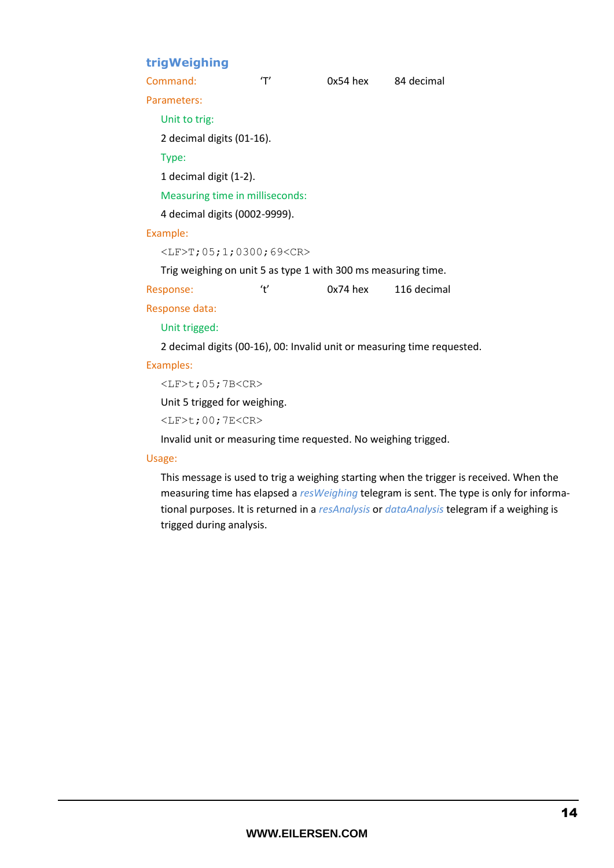## **trigWeighing**

<span id="page-13-0"></span>

| u iyu ciginiiy                       |                                     |                                                               |                                                                         |  |
|--------------------------------------|-------------------------------------|---------------------------------------------------------------|-------------------------------------------------------------------------|--|
| Command:                             | 'Τ'                                 | 0x54 hex                                                      | 84 decimal                                                              |  |
| Parameters:                          |                                     |                                                               |                                                                         |  |
| Unit to trig:                        |                                     |                                                               |                                                                         |  |
| 2 decimal digits (01-16).            |                                     |                                                               |                                                                         |  |
| Type:                                |                                     |                                                               |                                                                         |  |
| 1 decimal digit (1-2).               |                                     |                                                               |                                                                         |  |
|                                      | Measuring time in milliseconds:     |                                                               |                                                                         |  |
| 4 decimal digits (0002-9999).        |                                     |                                                               |                                                                         |  |
| Example:                             |                                     |                                                               |                                                                         |  |
|                                      | $<$ LF>T; 05; 1; 0300; 69 <cr></cr> |                                                               |                                                                         |  |
|                                      |                                     | Trig weighing on unit 5 as type 1 with 300 ms measuring time. |                                                                         |  |
| Response:                            | ʻť                                  | 0x74 hex                                                      | 116 decimal                                                             |  |
| Response data:                       |                                     |                                                               |                                                                         |  |
| Unit trigged:                        |                                     |                                                               |                                                                         |  |
|                                      |                                     |                                                               | 2 decimal digits (00-16), 00: Invalid unit or measuring time requested. |  |
| Examples:                            |                                     |                                                               |                                                                         |  |
| $\langle$ LF>t; 05; 7B $\langle$ CR> |                                     |                                                               |                                                                         |  |
| Unit 5 trigged for weighing.         |                                     |                                                               |                                                                         |  |
| $\langle$ LF>t; 00; 7E <cr></cr>     |                                     |                                                               |                                                                         |  |

Invalid unit or measuring time requested. No weighing trigged.

#### Usage:

This message is used to trig a weighing starting when the trigger is received. When the measuring time has elapsed a *resWeighing* telegram is sent. The type is only for informational purposes. It is returned in a *resAnalysis* or *dataAnalysis* telegram if a weighing is trigged during analysis.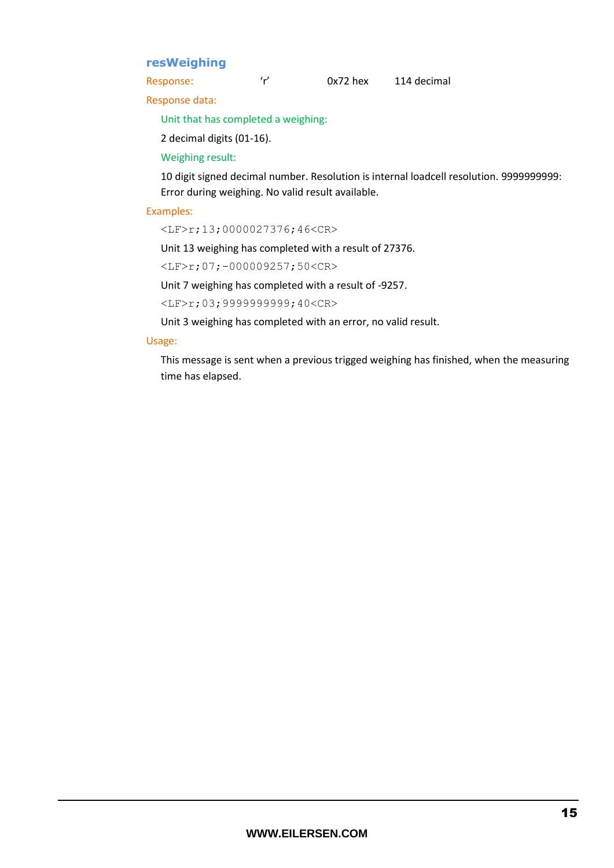## <span id="page-14-0"></span>**resWeighing**

Response: 'r' 0x72 hex 114 decimal

Response data:

Unit that has completed a weighing:

2 decimal digits (01-16).

Weighing result:

10 digit signed decimal number. Resolution is internal loadcell resolution. 9999999999: Error during weighing. No valid result available.

#### Examples:

<LF>r;13;0000027376;46<CR>

Unit 13 weighing has completed with a result of 27376.

<LF>r;07;-000009257;50<CR>

Unit 7 weighing has completed with a result of -9257.

<LF>r;03;9999999999;40<CR>

Unit 3 weighing has completed with an error, no valid result.

#### Usage:

This message is sent when a previous trigged weighing has finished, when the measuring time has elapsed.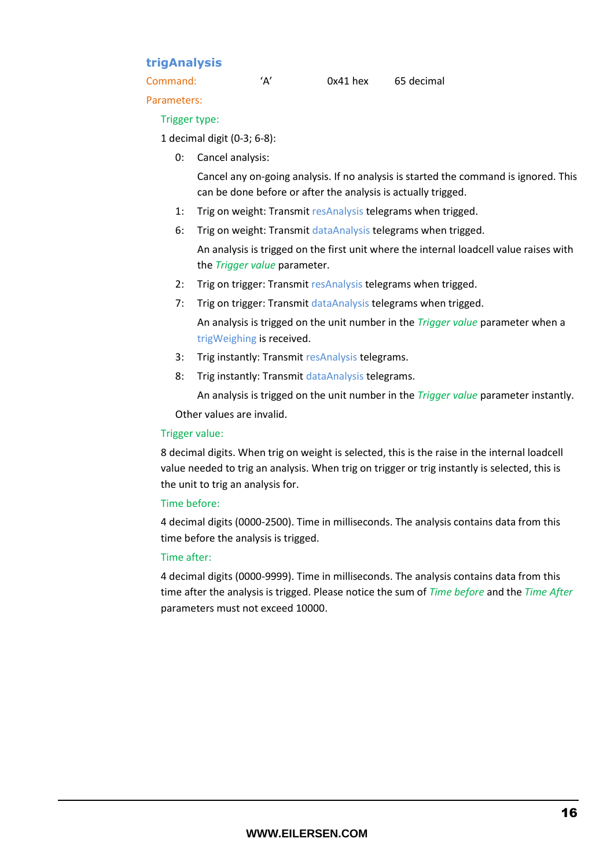## <span id="page-15-0"></span>**trigAnalysis**

Parameters:

#### Trigger type:

1 decimal digit (0-3; 6-8):

0: Cancel analysis:

Cancel any on-going analysis. If no analysis is started the command is ignored. This can be done before or after the analysis is actually trigged.

- 1: Trig on weight: Transmit resAnalysis telegrams when trigged.
- 6: Trig on weight: Transmit dataAnalysis telegrams when trigged.

An analysis is trigged on the first unit where the internal loadcell value raises with the *Trigger value* parameter.

- 2: Trig on trigger: Transmit resAnalysis telegrams when trigged.
- 7: Trig on trigger: Transmit dataAnalysis telegrams when trigged.

An analysis is trigged on the unit number in the *Trigger value* parameter when a trigWeighing is received.

- 3: Trig instantly: Transmit resAnalysis telegrams.
- 8: Trig instantly: Transmit dataAnalysis telegrams.

An analysis is trigged on the unit number in the *Trigger value* parameter instantly.

Other values are invalid.

#### Trigger value:

8 decimal digits. When trig on weight is selected, this is the raise in the internal loadcell value needed to trig an analysis. When trig on trigger or trig instantly is selected, this is the unit to trig an analysis for.

#### Time before:

4 decimal digits (0000-2500). Time in milliseconds. The analysis contains data from this time before the analysis is trigged.

#### Time after:

4 decimal digits (0000-9999). Time in milliseconds. The analysis contains data from this time after the analysis is trigged. Please notice the sum of *Time before* and the *Time After* parameters must not exceed 10000.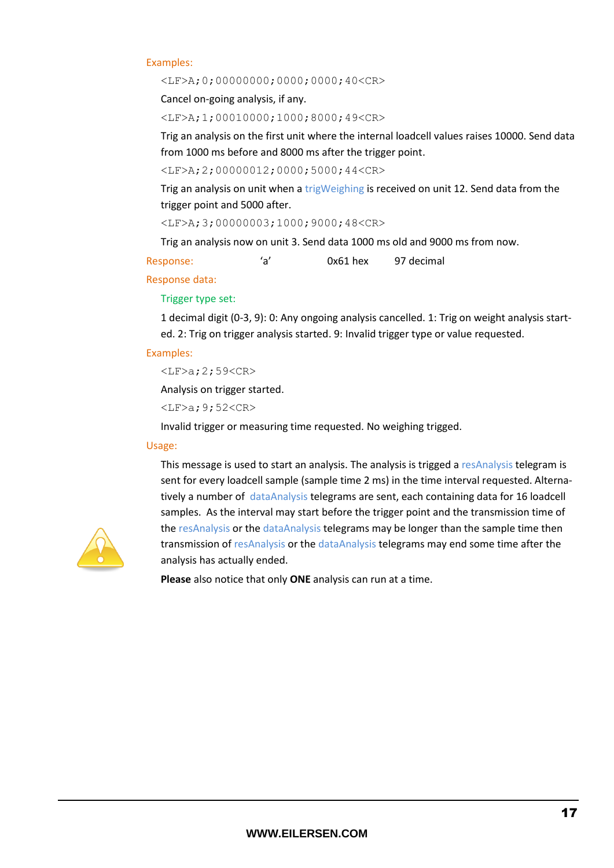#### Examples:

<LF>A;0;00000000;0000;0000;40<CR>

Cancel on-going analysis, if any.

<LF>A;1;00010000;1000;8000;49<CR>

Trig an analysis on the first unit where the internal loadcell values raises 10000. Send data from 1000 ms before and 8000 ms after the trigger point.

<LF>A;2;00000012;0000;5000;44<CR>

Trig an analysis on unit when a trigWeighing is received on unit 12. Send data from the trigger point and 5000 after.

<LF>A;3;00000003;1000;9000;48<CR>

Trig an analysis now on unit 3. Send data 1000 ms old and 9000 ms from now.

Response: 'a' 0x61 hex 97 decimal

Response data:

Trigger type set:

1 decimal digit (0-3, 9): 0: Any ongoing analysis cancelled. 1: Trig on weight analysis started. 2: Trig on trigger analysis started. 9: Invalid trigger type or value requested.

#### Examples:

```
<LF>a;2;59<CR>
```
Analysis on trigger started.

 $<$ LF $>a$ ; 9; 52 $<$ CR $>$ 

Invalid trigger or measuring time requested. No weighing trigged.

#### Usage:

This message is used to start an analysis. The analysis is trigged a resAnalysis telegram is sent for every loadcell sample (sample time 2 ms) in the time interval requested. Alternatively a number of dataAnalysis telegrams are sent, each containing data for 16 loadcell samples. As the interval may start before the trigger point and the transmission time of the resAnalysis or the dataAnalysis telegrams may be longer than the sample time then transmission of resAnalysis or the dataAnalysis telegrams may end some time after the analysis has actually ended.

**Please** also notice that only **ONE** analysis can run at a time.

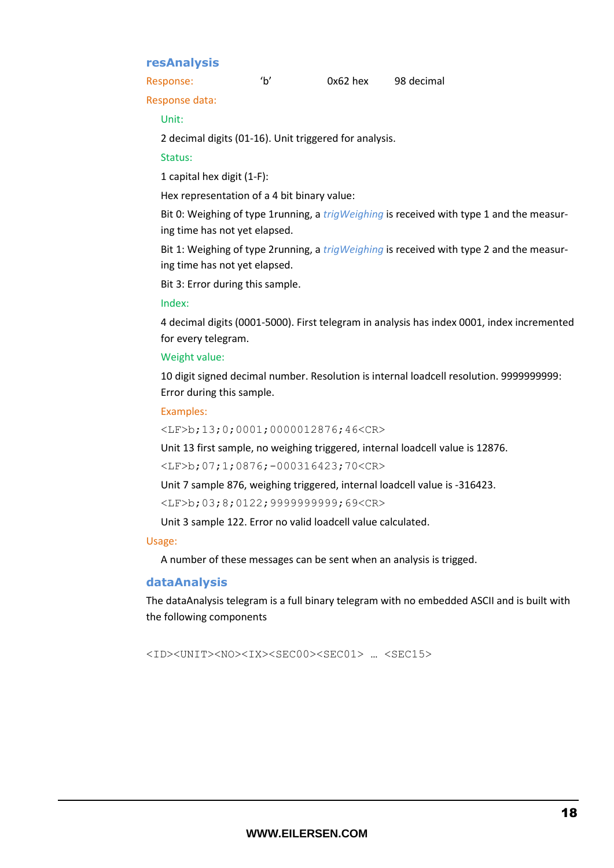### <span id="page-17-0"></span>**resAnalysis**

Response: 'b' 0x62 hex 98 decimal

Response data:

Unit:

2 decimal digits (01-16). Unit triggered for analysis.

#### Status:

1 capital hex digit (1-F):

Hex representation of a 4 bit binary value:

Bit 0: Weighing of type 1running, a *trigWeighing* is received with type 1 and the measuring time has not yet elapsed.

Bit 1: Weighing of type 2running, a *trigWeighing* is received with type 2 and the measuring time has not yet elapsed.

Bit 3: Error during this sample.

Index:

4 decimal digits (0001-5000). First telegram in analysis has index 0001, index incremented for every telegram.

#### Weight value:

10 digit signed decimal number. Resolution is internal loadcell resolution. 9999999999: Error during this sample.

#### Examples:

<LF>b;13;0;0001;0000012876;46<CR>

Unit 13 first sample, no weighing triggered, internal loadcell value is 12876.

<LF>b;07;1;0876;-000316423;70<CR>

Unit 7 sample 876, weighing triggered, internal loadcell value is -316423.

<LF>b;03;8;0122;9999999999;69<CR>

Unit 3 sample 122. Error no valid loadcell value calculated.

#### Usage:

A number of these messages can be sent when an analysis is trigged.

#### <span id="page-17-1"></span>**dataAnalysis**

The dataAnalysis telegram is a full binary telegram with no embedded ASCII and is built with the following components

<ID><UNIT><NO><IX><SEC00><SEC01> … <SEC15>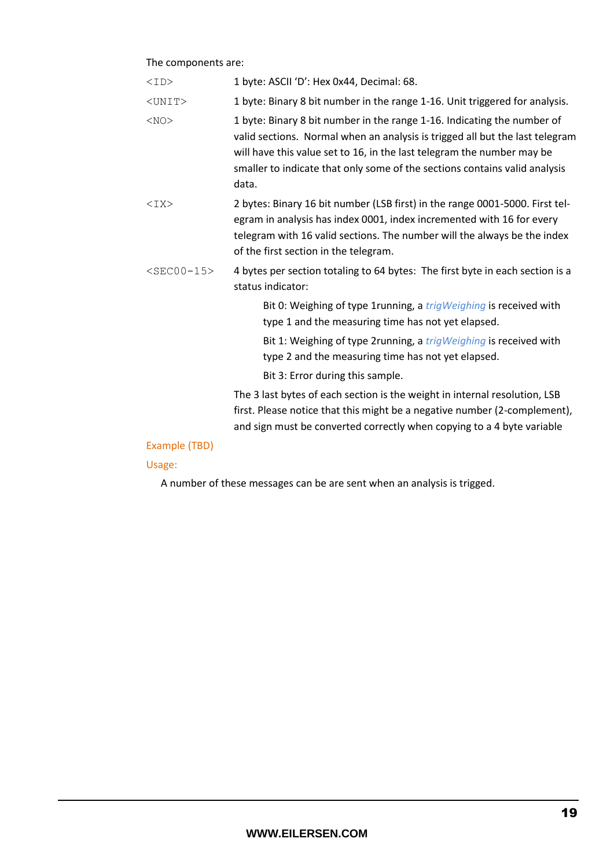#### The components are:

| <id></id>     | 1 byte: ASCII 'D': Hex 0x44, Decimal: 68.                                                                                                                                                                                                                                                                                |
|---------------|--------------------------------------------------------------------------------------------------------------------------------------------------------------------------------------------------------------------------------------------------------------------------------------------------------------------------|
| $<$ UNIT $>$  | 1 byte: Binary 8 bit number in the range 1-16. Unit triggered for analysis.                                                                                                                                                                                                                                              |
| $<$ NO $>$    | 1 byte: Binary 8 bit number in the range 1-16. Indicating the number of<br>valid sections. Normal when an analysis is trigged all but the last telegram<br>will have this value set to 16, in the last telegram the number may be<br>smaller to indicate that only some of the sections contains valid analysis<br>data. |
| $<$ IX $>$    | 2 bytes: Binary 16 bit number (LSB first) in the range 0001-5000. First tel-<br>egram in analysis has index 0001, index incremented with 16 for every<br>telegram with 16 valid sections. The number will the always be the index<br>of the first section in the telegram.                                               |
| $<$ SEC00-15> | 4 bytes per section totaling to 64 bytes: The first byte in each section is a<br>status indicator:                                                                                                                                                                                                                       |
|               | Bit 0: Weighing of type 1running, a trigWeighing is received with<br>type 1 and the measuring time has not yet elapsed.                                                                                                                                                                                                  |
|               | Bit 1: Weighing of type 2running, a <i>trigWeighing</i> is received with<br>type 2 and the measuring time has not yet elapsed.                                                                                                                                                                                           |
|               | Bit 3: Error during this sample.                                                                                                                                                                                                                                                                                         |
|               | The 3 last bytes of each section is the weight in internal resolution, LSB<br>first. Please notice that this might be a negative number (2-complement),<br>and sign must be converted correctly when copying to a 4 byte variable                                                                                        |
| Example (TBD) |                                                                                                                                                                                                                                                                                                                          |

## Usage:

A number of these messages can be are sent when an analysis is trigged.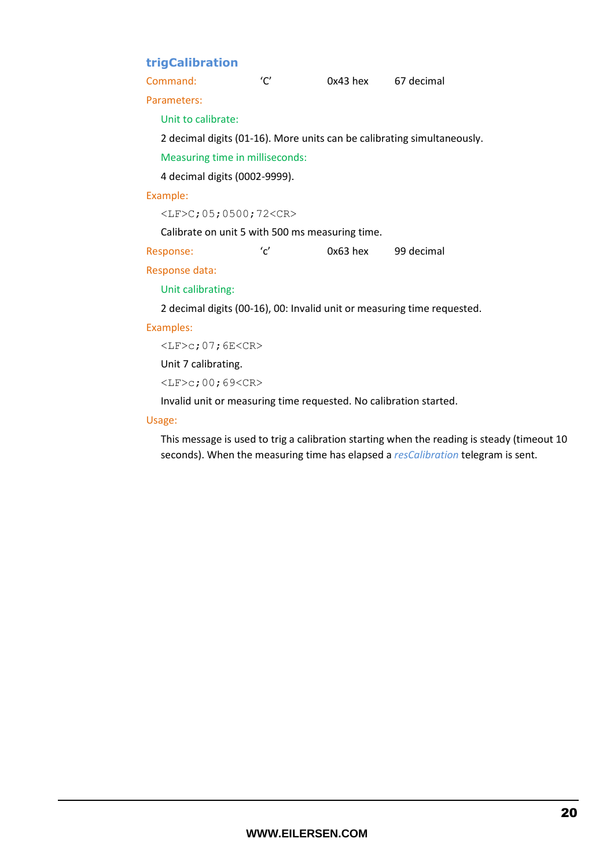## <span id="page-19-0"></span>**trigCalibration**

Command: 'C' 0x43 hex 67 decimal

Parameters:

Unit to calibrate:

2 decimal digits (01-16). More units can be calibrating simultaneously.

Measuring time in milliseconds:

4 decimal digits (0002-9999).

#### Example:

<LF>C;05;0500;72<CR>

Calibrate on unit 5 with 500 ms measuring time.

Response: 'c' 0x63 hex 99 decimal

Response data:

Unit calibrating:

2 decimal digits (00-16), 00: Invalid unit or measuring time requested.

#### Examples:

 $\langle$ LF>c;07;6E $\langle$ CR>

Unit 7 calibrating.

<LF>c;00;69<CR>

Invalid unit or measuring time requested. No calibration started.

#### Usage:

This message is used to trig a calibration starting when the reading is steady (timeout 10 seconds). When the measuring time has elapsed a *resCalibration* telegram is sent.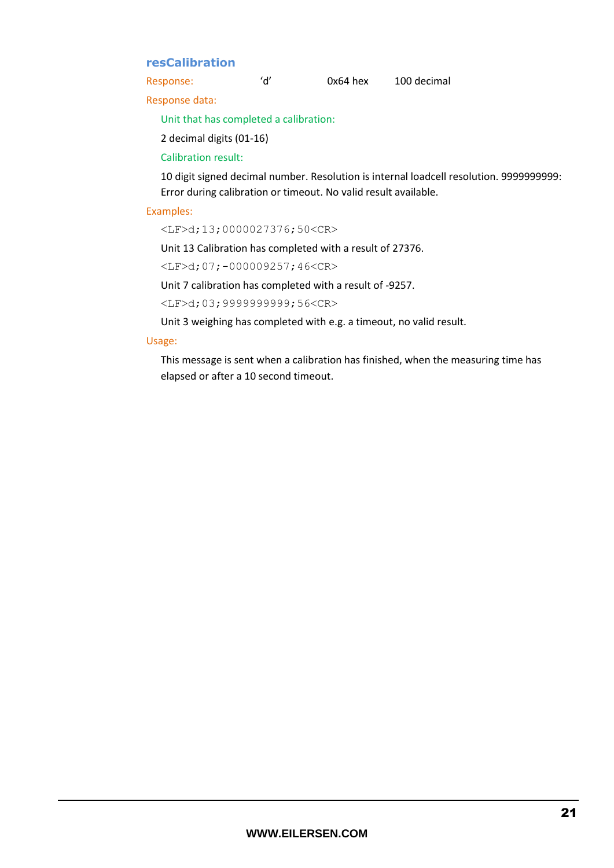## <span id="page-20-0"></span>**resCalibration**

Response: 'd' 0x64 hex 100 decimal

Response data:

Unit that has completed a calibration:

2 decimal digits (01-16)

Calibration result:

10 digit signed decimal number. Resolution is internal loadcell resolution. 9999999999: Error during calibration or timeout. No valid result available.

#### Examples:

<LF>d;13;0000027376;50<CR>

Unit 13 Calibration has completed with a result of 27376.

 $<$ LF>d;07;-000009257;46 $<$ CR>

Unit 7 calibration has completed with a result of -9257.

<LF>d;03;9999999999;56<CR>

Unit 3 weighing has completed with e.g. a timeout, no valid result.

#### Usage:

This message is sent when a calibration has finished, when the measuring time has elapsed or after a 10 second timeout.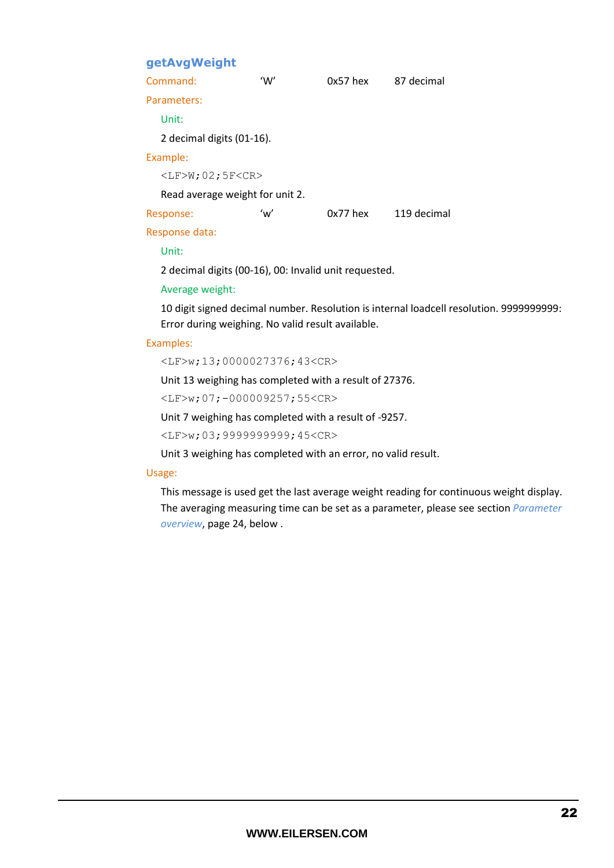## <span id="page-21-0"></span>**getAvgWeight**

| Command:                             | 'W' | $0x57$ hex | 87 decimal  |
|--------------------------------------|-----|------------|-------------|
| Parameters:                          |     |            |             |
| Unit:                                |     |            |             |
| 2 decimal digits (01-16).            |     |            |             |
| Example:                             |     |            |             |
| $\langle$ LF>W; 02; 5F $\langle$ CR> |     |            |             |
| Read average weight for unit 2.      |     |            |             |
| Response:                            | 'w' | $0x77$ hex | 119 decimal |
| Response data:                       |     |            |             |

Unit:

2 decimal digits (00-16), 00: Invalid unit requested.

Average weight:

10 digit signed decimal number. Resolution is internal loadcell resolution. 9999999999: Error during weighing. No valid result available.

#### Examples:

<LF>w;13;0000027376;43<CR>

Unit 13 weighing has completed with a result of 27376.

<LF>w;07;-000009257;55<CR>

Unit 7 weighing has completed with a result of -9257.

<LF>w;03;9999999999;45<CR>

Unit 3 weighing has completed with an error, no valid result.

#### Usage:

This message is used get the last average weight reading for continuous weight display. The averaging measuring time can be set as a parameter, please see section *[Parameter](#page-23-0)  [overview](#page-23-0)*, pag[e 24,](#page-23-0) below .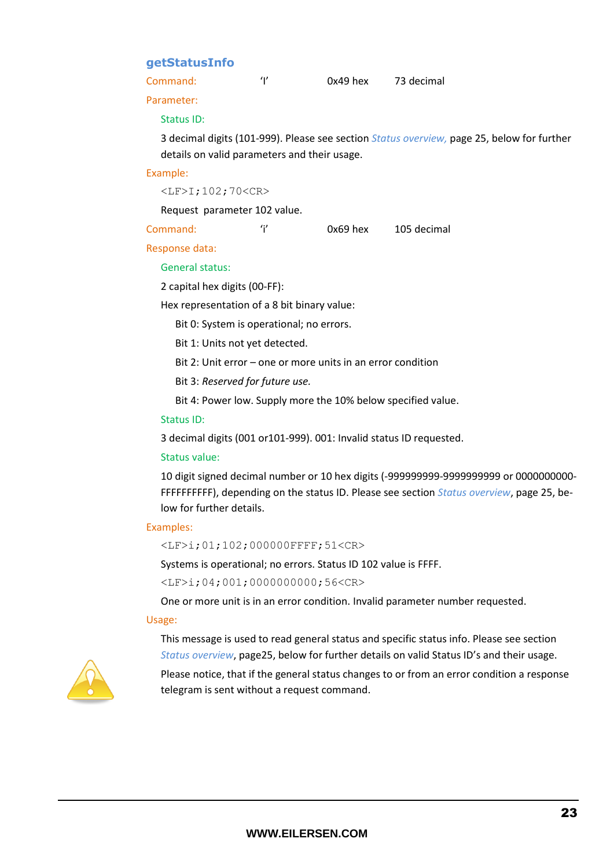#### <span id="page-22-0"></span>**getStatusInfo**

<span id="page-22-1"></span>Command: 'I' 0x49 hex 73 decimal

Parameter:

#### Status ID:

3 decimal digits (101-999). Please see section *[Status overview,](#page-24-0)* pag[e 25,](#page-23-1) below for further details on valid parameters and their usage.

#### Example:

<LF>I;102;70<CR>

Request parameter 102 value.

| Command: | $0x69$ hex | 105 decimal |
|----------|------------|-------------|
|          |            |             |
|          |            |             |
|          |            |             |
|          |            |             |

#### Response data:

#### General status:

2 capital hex digits (00-FF):

Hex representation of a 8 bit binary value:

Bit 0: System is operational; no errors.

Bit 1: Units not yet detected.

Bit 2: Unit error – one or more units in an error condition

Bit 3: *Reserved for future use.*

Bit 4: Power low. Supply more the 10% below specified value.

#### Status ID:

3 decimal digits (001 or101-999). 001: Invalid status ID requested.

#### Status value:

10 digit signed decimal number or 10 hex digits (-999999999-9999999999 or 0000000000- FFFFFFFFFF), depending on the status ID. Please see section *[Status overview](#page-24-0)*, pag[e 25,](#page-23-1) below for further details.

#### Examples:

<LF>i;01;102;000000FFFF;51<CR>

Systems is operational; no errors. Status ID 102 value is FFFF.

<LF>i;04;001;0000000000;56<CR>

One or more unit is in an error condition. Invalid parameter number requested.

#### Usage:

This message is used to read general status and specific status info. Please see section *[Status overview](#page-24-0)*, pag[e25,](#page-24-0) below for further details on valid Status ID's and their usage.



Please notice, that if the general status changes to or from an error condition a response telegram is sent without a request command.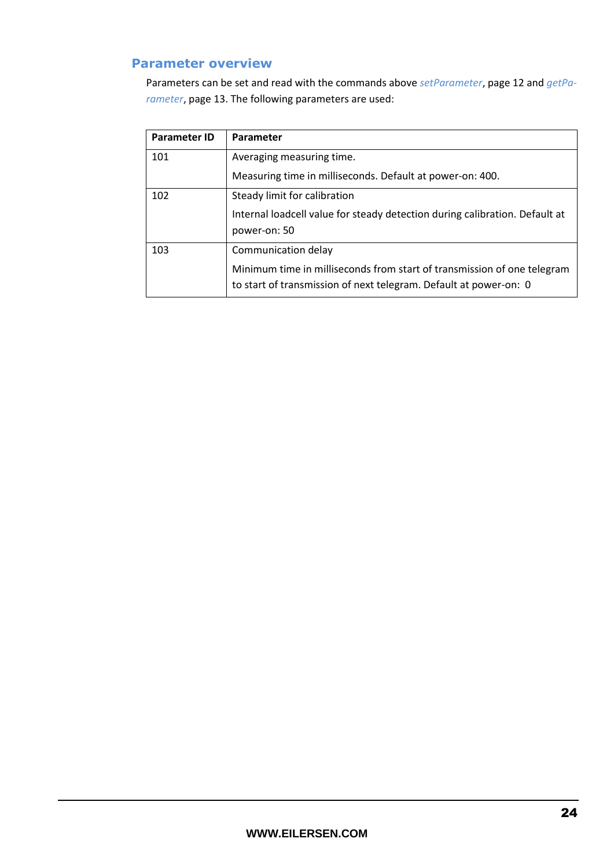## <span id="page-23-0"></span>**Parameter overview**

Parameters can be set and read with the commands above *[setParameter](#page-11-0)*, page [12](#page-11-0) and *[getPa](#page-12-0)[rameter](#page-12-0)*, page [13.](#page-12-0) The following parameters are used:

<span id="page-23-1"></span>

| <b>Parameter ID</b> | Parameter                                                                                                                                    |
|---------------------|----------------------------------------------------------------------------------------------------------------------------------------------|
| 101                 | Averaging measuring time.                                                                                                                    |
|                     | Measuring time in milliseconds. Default at power-on: 400.                                                                                    |
| 102                 | Steady limit for calibration                                                                                                                 |
|                     | Internal loadcell value for steady detection during calibration. Default at<br>power-on: 50                                                  |
| 103                 | Communication delay                                                                                                                          |
|                     | Minimum time in milliseconds from start of transmission of one telegram<br>to start of transmission of next telegram. Default at power-on: 0 |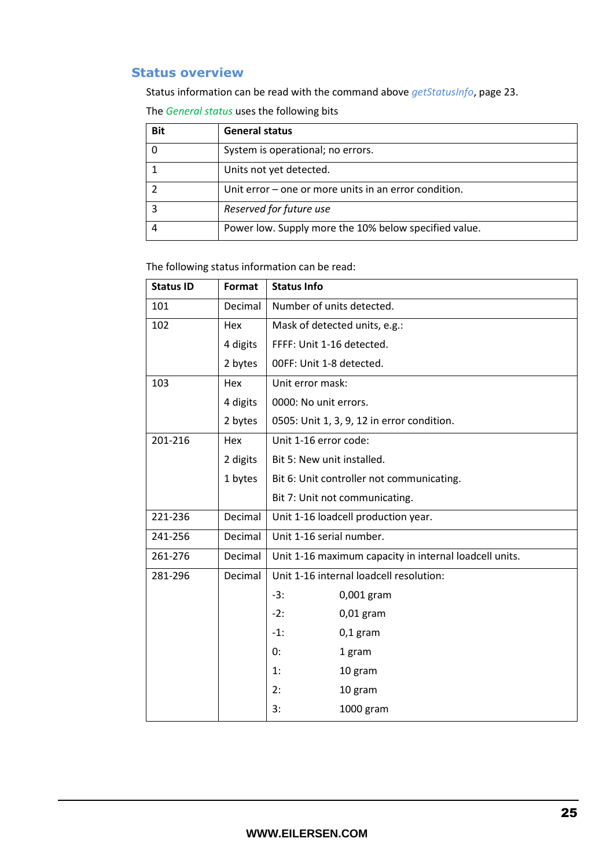## <span id="page-24-0"></span>**Status overview**

Status information can be read with the command above *[getStatusInfo](#page-22-0)*, pag[e 23.](#page-22-0)

The *General status* uses the following bits

| <b>Bit</b> | <b>General status</b>                                   |
|------------|---------------------------------------------------------|
|            | System is operational; no errors.                       |
|            | Units not yet detected.                                 |
|            | Unit error $-$ one or more units in an error condition. |
|            | Reserved for future use                                 |
|            | Power low. Supply more the 10% below specified value.   |

The following status information can be read:

| <b>Status ID</b> | Format   | <b>Status Info</b>                                     |  |
|------------------|----------|--------------------------------------------------------|--|
| 101              | Decimal  | Number of units detected.                              |  |
| 102              | Hex      | Mask of detected units, e.g.:                          |  |
|                  | 4 digits | FFFF: Unit 1-16 detected.                              |  |
|                  | 2 bytes  | 00FF: Unit 1-8 detected.                               |  |
| 103              | Hex      | Unit error mask:                                       |  |
|                  | 4 digits | 0000: No unit errors.                                  |  |
|                  | 2 bytes  | 0505: Unit 1, 3, 9, 12 in error condition.             |  |
| 201-216          | Hex      | Unit 1-16 error code:                                  |  |
|                  | 2 digits | Bit 5: New unit installed.                             |  |
|                  | 1 bytes  | Bit 6: Unit controller not communicating.              |  |
|                  |          | Bit 7: Unit not communicating.                         |  |
| 221-236          | Decimal  | Unit 1-16 loadcell production year.                    |  |
| 241-256          | Decimal  | Unit 1-16 serial number.                               |  |
| 261-276          | Decimal  | Unit 1-16 maximum capacity in internal loadcell units. |  |
| 281-296          | Decimal  | Unit 1-16 internal loadcell resolution:                |  |
|                  |          | $-3:$<br>0,001 gram                                    |  |
|                  |          | $-2:$<br>$0,01$ gram                                   |  |
|                  |          | $-1:$<br>$0,1$ gram                                    |  |
|                  |          | 0:<br>1 gram                                           |  |
|                  |          | 1:<br>10 gram                                          |  |
|                  |          | 2:<br>10 gram                                          |  |
|                  |          | 3:<br>1000 gram                                        |  |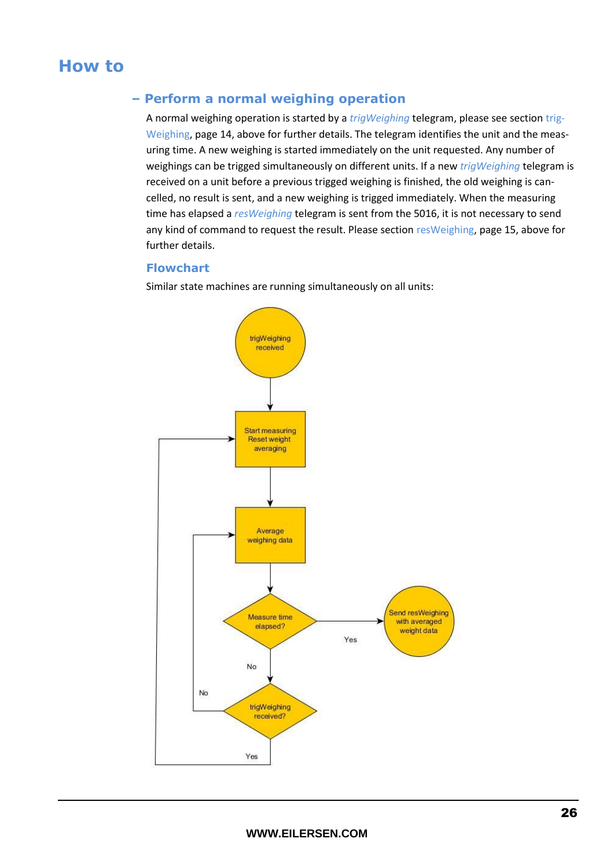## <span id="page-25-1"></span><span id="page-25-0"></span>**How to**

## **– Perform a normal weighing operation**

A normal weighing operation is started by a *trigWeighing* telegram, please see section [trig-](#page-13-0)[Weighing,](#page-13-0) page [14,](#page-13-0) above for further details. The telegram identifies the unit and the measuring time. A new weighing is started immediately on the unit requested. Any number of weighings can be trigged simultaneously on different units. If a new *trigWeighing* telegram is received on a unit before a previous trigged weighing is finished, the old weighing is cancelled, no result is sent, and a new weighing is trigged immediately. When the measuring time has elapsed a *resWeighing* telegram is sent from the 5016, it is not necessary to send any kind of command to request the result. Please section [resWeighing,](#page-14-0) page [15,](#page-14-0) above for further details.

## <span id="page-25-2"></span>**Flowchart**

Similar state machines are running simultaneously on all units:

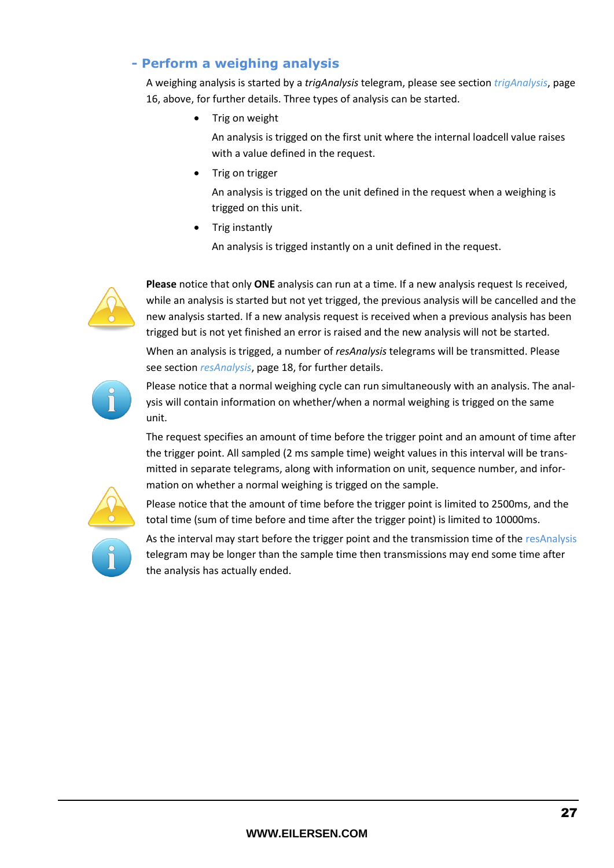## <span id="page-26-0"></span>**- Perform a weighing analysis**

A weighing analysis is started by a *trigAnalysis* telegram, please see section *[trigAnalysis](#page-15-0)*, page [16,](#page-15-0) above, for further details. Three types of analysis can be started.

Trig on weight

An analysis is trigged on the first unit where the internal loadcell value raises with a value defined in the request.

Trig on trigger

An analysis is trigged on the unit defined in the request when a weighing is trigged on this unit.

Trig instantly

An analysis is trigged instantly on a unit defined in the request.



**Please** notice that only **ONE** analysis can run at a time. If a new analysis request Is received, while an analysis is started but not yet trigged, the previous analysis will be cancelled and the new analysis started. If a new analysis request is received when a previous analysis has been trigged but is not yet finished an error is raised and the new analysis will not be started. When an analysis is trigged, a number of *resAnalysis* telegrams will be transmitted. Please see section *[resAnalysis](#page-17-0)*, page [18,](#page-17-0) for further details.



Please notice that a normal weighing cycle can run simultaneously with an analysis. The analysis will contain information on whether/when a normal weighing is trigged on the same unit.

The request specifies an amount of time before the trigger point and an amount of time after the trigger point. All sampled (2 ms sample time) weight values in this interval will be transmitted in separate telegrams, along with information on unit, sequence number, and information on whether a normal weighing is trigged on the sample.



Please notice that the amount of time before the trigger point is limited to 2500ms, and the total time (sum of time before and time after the trigger point) is limited to 10000ms.

As the interval may start before the trigger point and the transmission time of the resAnalysis telegram may be longer than the sample time then transmissions may end some time after the analysis has actually ended.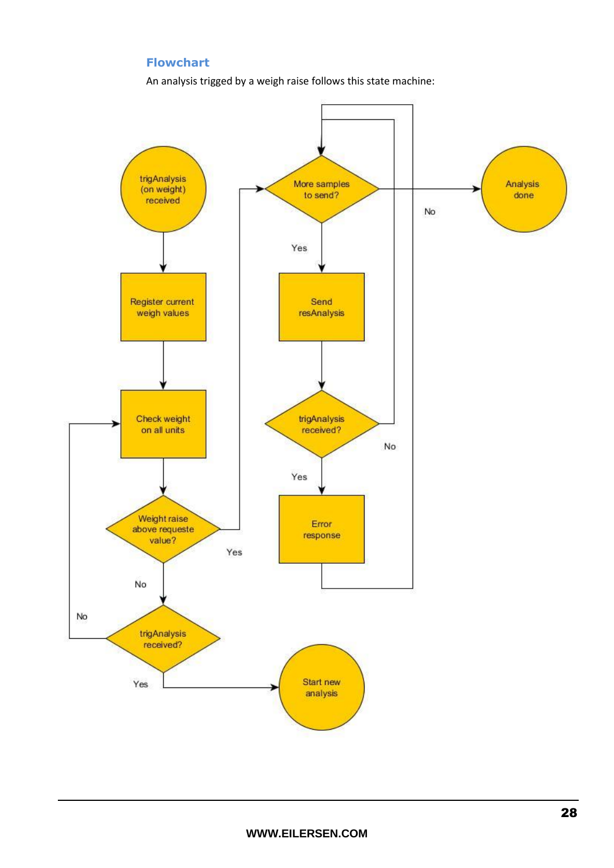## **Flowchart**

An analysis trigged by a weigh raise follows this state machine:

<span id="page-27-0"></span>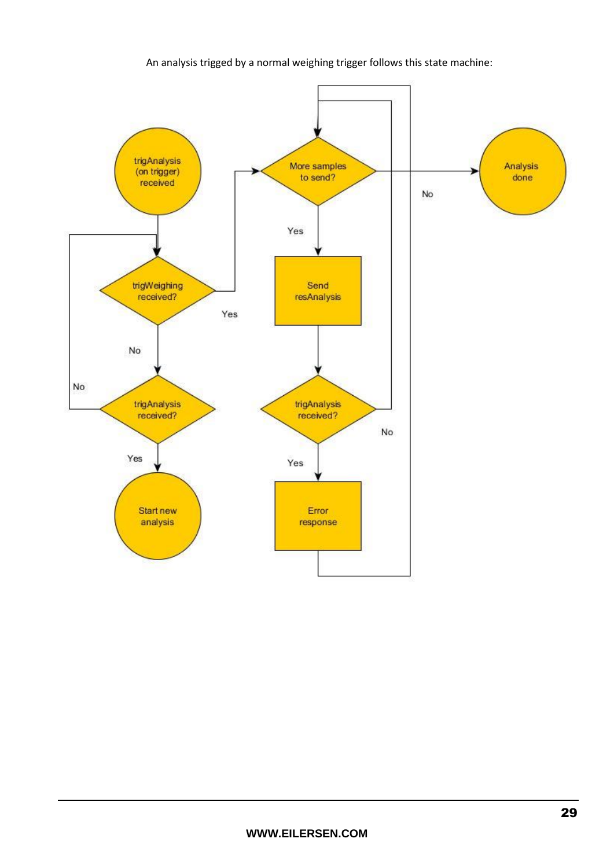#### An analysis trigged by a normal weighing trigger follows this state machine:

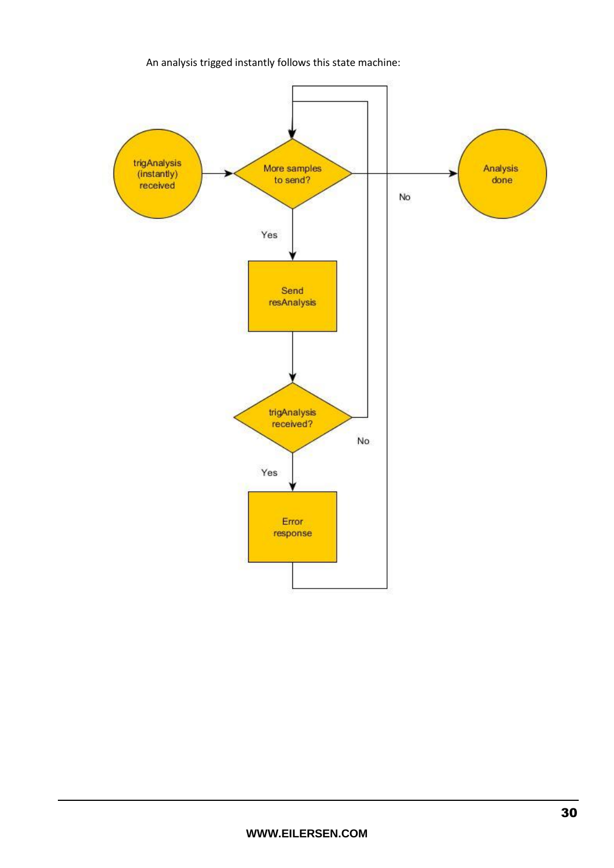## An analysis trigged instantly follows this state machine:

![](_page_29_Figure_1.jpeg)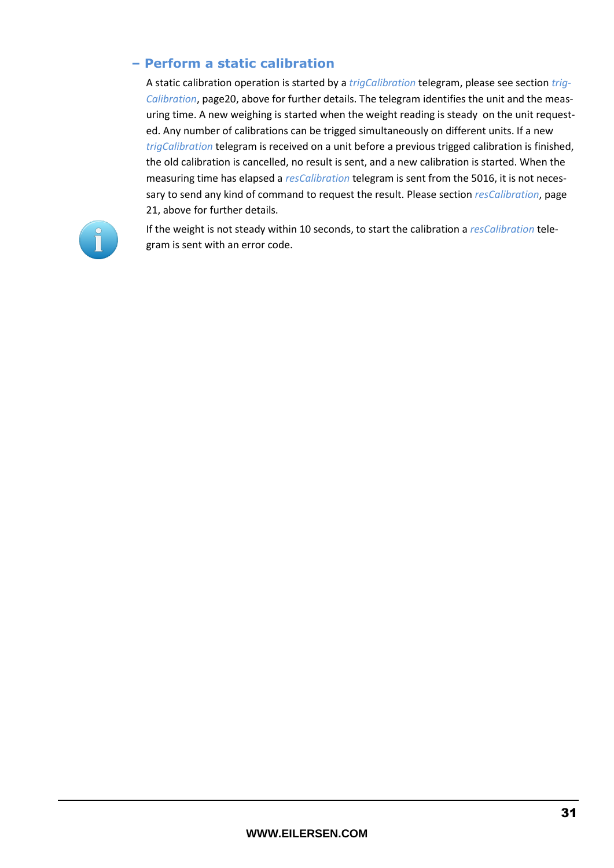## <span id="page-30-0"></span>**– Perform a static calibration**

A static calibration operation is started by a *trigCalibration* telegram, please see section *[trig-](#page-19-0)[Calibration](#page-19-0)*, pag[e20,](#page-19-0) above for further details. The telegram identifies the unit and the measuring time. A new weighing is started when the weight reading is steady on the unit requested. Any number of calibrations can be trigged simultaneously on different units. If a new *trigCalibration* telegram is received on a unit before a previous trigged calibration is finished, the old calibration is cancelled, no result is sent, and a new calibration is started. When the measuring time has elapsed a *resCalibration* telegram is sent from the 5016, it is not necessary to send any kind of command to request the result. Please section *[resCalibration](#page-20-0)*, page [21,](#page-20-0) above for further details.

![](_page_30_Picture_2.jpeg)

If the weight is not steady within 10 seconds, to start the calibration a *resCalibration* telegram is sent with an error code.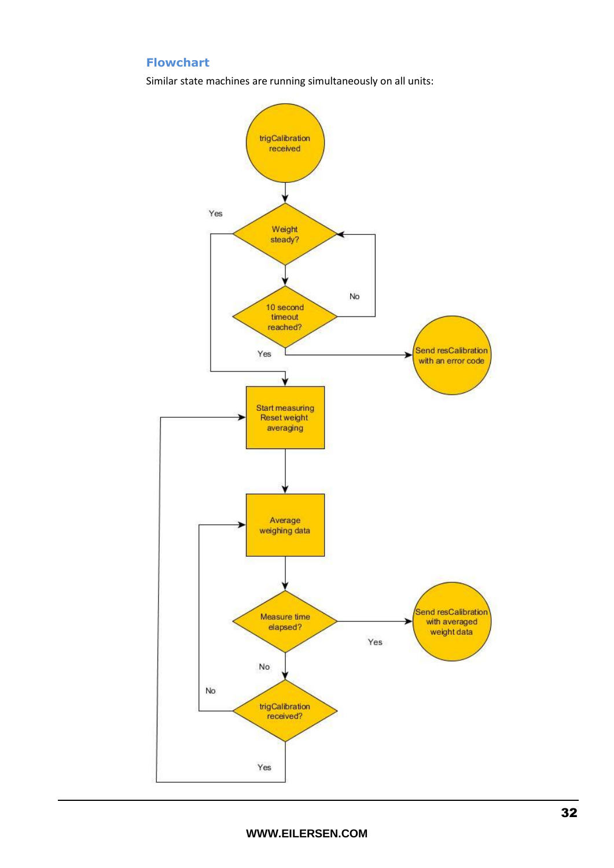## <span id="page-31-0"></span>**Flowchart**

Similar state machines are running simultaneously on all units:

![](_page_31_Figure_2.jpeg)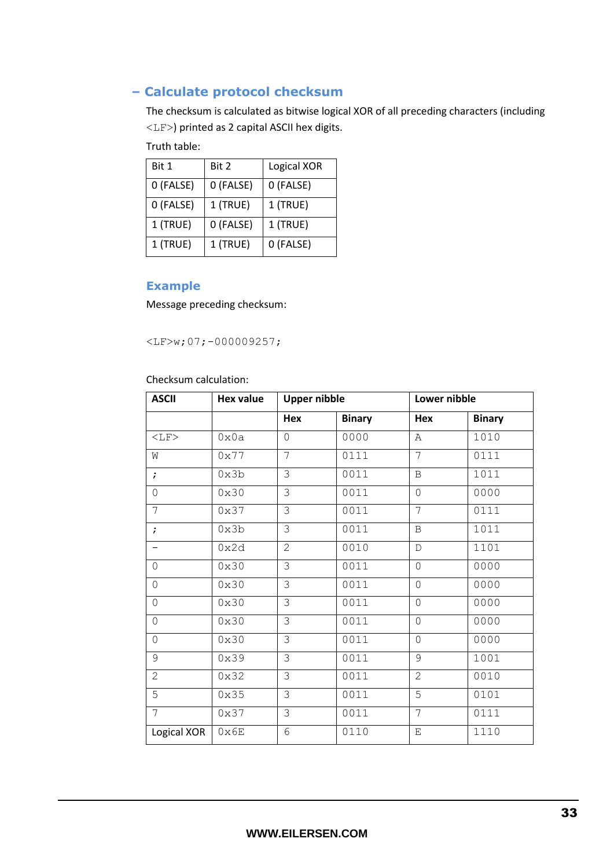## <span id="page-32-0"></span>**– Calculate protocol checksum**

The checksum is calculated as bitwise logical XOR of all preceding characters (including <LF>) printed as 2 capital ASCII hex digits.

Truth table:

| Bit 1     | Bit 2     | Logical XOR |
|-----------|-----------|-------------|
| 0 (FALSE) | 0 (FALSE) | 0 (FALSE)   |
| 0 (FALSE) | 1 (TRUE)  | 1 (TRUE)    |
| 1 (TRUE)  | 0 (FALSE) | 1 (TRUE)    |
| 1 (TRUE)  | 1 (TRUE)  | 0 (FALSE)   |

## <span id="page-32-1"></span>**Example**

Message preceding checksum:

<LF>w;07;-000009257;

Checksum calculation:

| <b>ASCII</b>   | <b>Hex value</b> | <b>Upper nibble</b> |               | Lower nibble   |               |
|----------------|------------------|---------------------|---------------|----------------|---------------|
|                |                  | Hex                 | <b>Binary</b> | Hex            | <b>Binary</b> |
| $<$ LF>        | 0x0a             | $\overline{0}$      | 0000          | A              | 1010          |
| W              | 0x77             | 7                   | 0111          | $\overline{7}$ | 0111          |
| $\ddot{ }$     | 0x3b             | 3                   | 0011          | $\, {\bf B}$   | 1011          |
| 0              | 0x30             | 3                   | 0011          | $\overline{0}$ | 0000          |
| 7              | 0x37             | 3                   | 0011          | 7              | 0111          |
| $\ddot{ }$     | 0x3b             | 3                   | 0011          | B              | 1011          |
|                | 0x2d             | $\overline{2}$      | 0010          | $\mathbb D$    | 1101          |
| $\circ$        | 0x30             | $\overline{\omega}$ | 0011          | $\mathbf 0$    | 0000          |
| 0              | 0x30             | $\overline{\omega}$ | 0011          | $\mathbf 0$    | 0000          |
| $\mathbf 0$    | 0x30             | $\overline{3}$      | 0011          | $\mathbf 0$    | 0000          |
| 0              | 0x30             | $\overline{\omega}$ | 0011          | $\overline{0}$ | 0000          |
| 0              | 0x30             | 3                   | 0011          | $\mathbf 0$    | 0000          |
| 9              | 0x39             | 3                   | 0011          | 9              | 1001          |
| $\overline{2}$ | 0x32             | 3                   | 0011          | $\overline{2}$ | 0010          |
| $\overline{5}$ | 0x35             | $\overline{\omega}$ | 0011          | 5              | 0101          |
| 7              | 0x37             | $\overline{\omega}$ | 0011          | 7              | 0111          |
| Logical XOR    | $0 \times 6E$    | 6                   | 0110          | $\mathbf E$    | 1110          |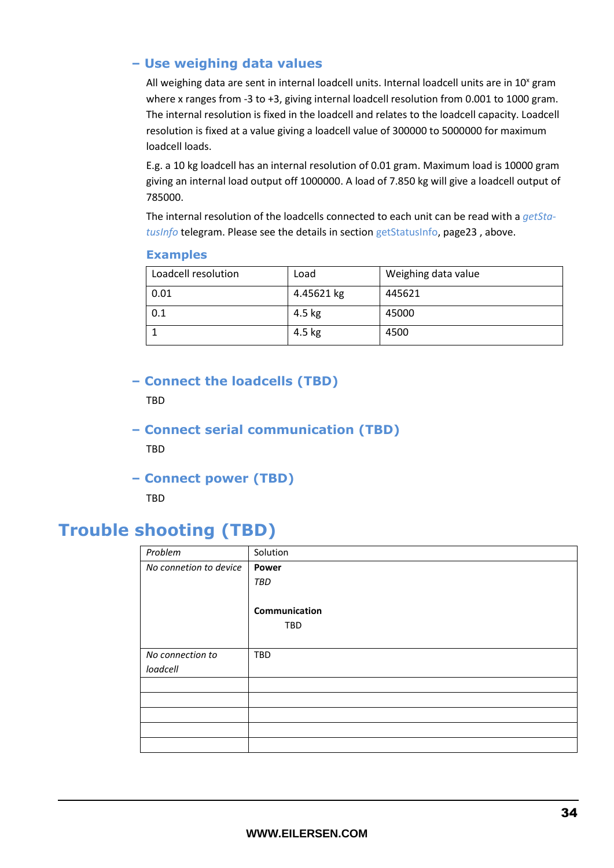## <span id="page-33-0"></span>**– Use weighing data values**

All weighing data are sent in internal loadcell units. Internal loadcell units are in  $10^x$  gram where x ranges from -3 to +3, giving internal loadcell resolution from 0.001 to 1000 gram. The internal resolution is fixed in the loadcell and relates to the loadcell capacity. Loadcell resolution is fixed at a value giving a loadcell value of 300000 to 5000000 for maximum loadcell loads.

E.g. a 10 kg loadcell has an internal resolution of 0.01 gram. Maximum load is 10000 gram giving an internal load output off 1000000. A load of 7.850 kg will give a loadcell output of 785000.

The internal resolution of the loadcells connected to each unit can be read with a *getStatusInfo* telegram. Please see the details in sectio[n getStatusInfo,](#page-22-0) pag[e23](#page-22-0) , above.

#### <span id="page-33-1"></span>**Examples**

| Loadcell resolution | Load       | Weighing data value |
|---------------------|------------|---------------------|
| 0.01                | 4.45621 kg | 445621              |
| $\vert 0.1 \vert$   | 4.5 kg     | 45000               |
|                     | 4.5 kg     | 4500                |

## <span id="page-33-2"></span>**– Connect the loadcells (TBD)**

TBD

<span id="page-33-3"></span>**– Connect serial communication (TBD)**

**TRD** 

**– Connect power (TBD)**

TBD

# <span id="page-33-5"></span><span id="page-33-4"></span>**Trouble shooting (TBD)**

| Problem                | Solution      |
|------------------------|---------------|
| No connetion to device | Power         |
|                        | TBD           |
|                        |               |
|                        | Communication |
|                        | TBD           |
|                        |               |
| No connection to       | TBD           |
| loadcell               |               |
|                        |               |
|                        |               |
|                        |               |
|                        |               |
|                        |               |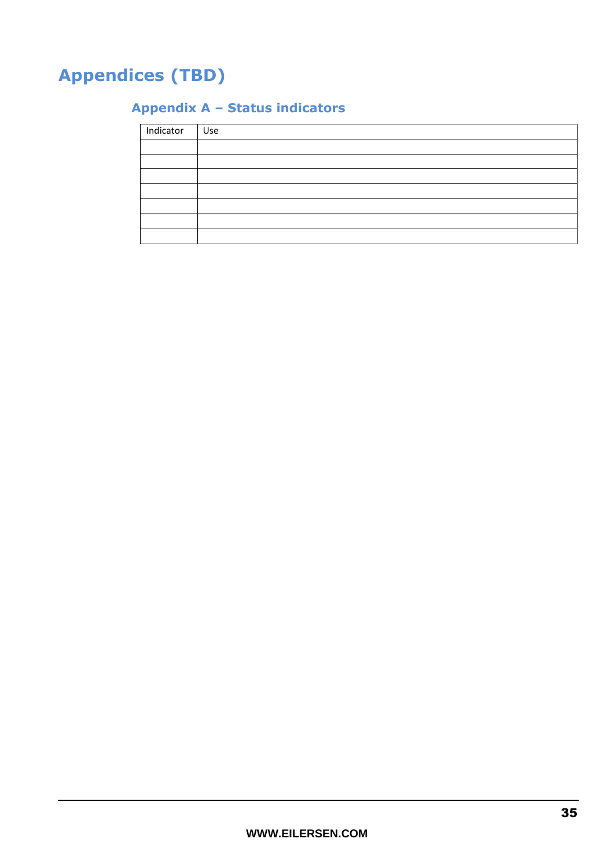# <span id="page-34-1"></span><span id="page-34-0"></span>**Appendices (TBD)**

## **Appendix A – Status indicators**

| Indicator Use |  |
|---------------|--|
|               |  |
|               |  |
|               |  |
|               |  |
|               |  |
|               |  |
|               |  |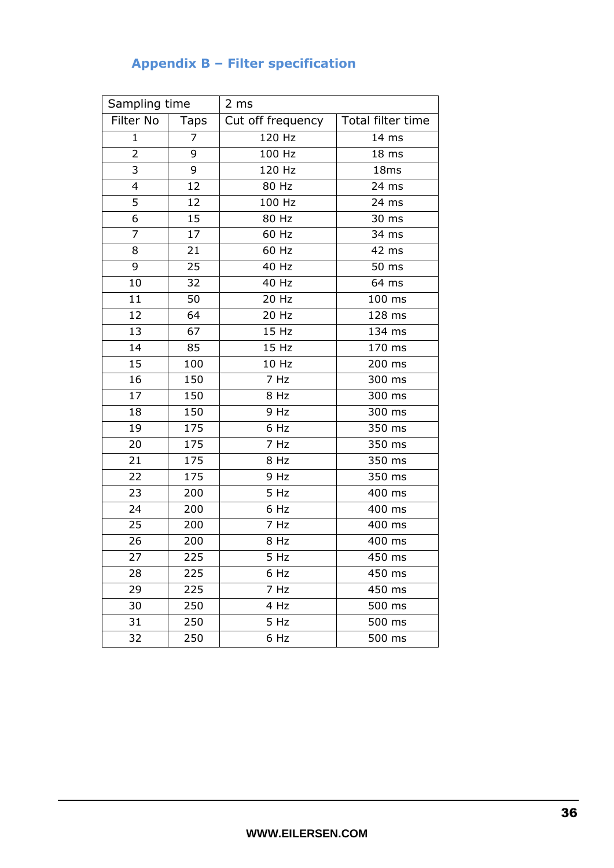## **Appendix B – Filter specification**

<span id="page-35-0"></span>

| Sampling time  |      | 2 ms              |                     |  |
|----------------|------|-------------------|---------------------|--|
| Filter No      | Taps | Cut off frequency | Total filter time   |  |
| $\mathbf{1}$   | 7    | 120 Hz            | 14 ms               |  |
| $\overline{2}$ | 9    | 100 Hz            | 18 ms               |  |
| 3              | 9    | 120 Hz            | 18ms                |  |
| 4              | 12   | 80 Hz             | 24 ms               |  |
| 5              | 12   | 100 Hz            | 24 ms               |  |
| 6              | 15   | $80$ Hz           | 30 ms               |  |
| 7              | 17   | 60 Hz             | 34 ms               |  |
| 8              | 21   | 60 Hz             | 42 ms               |  |
| 9              | 25   | 40 Hz             | $\overline{50}$ ms  |  |
| 10             | 32   | 40 Hz             | 64 ms               |  |
| 11             | 50   | 20 Hz             | 100 ms              |  |
| 12             | 64   | 20 Hz             | 128 ms              |  |
| 13             | 67   | 15 Hz             | 134 ms              |  |
| 14             | 85   | 15 Hz             | 170 ms              |  |
| 15             | 100  | 10 Hz             | 200 ms              |  |
| 16             | 150  | 7 Hz              | 300 ms              |  |
| 17             | 150  | $\overline{8}$ Hz | 300 ms              |  |
| 18             | 150  | 9 Hz              | 300 ms              |  |
| 19             | 175  | $\overline{6}$ Hz | $\overline{3}50$ ms |  |
| 20             | 175  | $\overline{7}$ Hz | $\overline{3}50$ ms |  |
| 21             | 175  | 8 Hz              | 350 ms              |  |
| 22             | 175  | 9 Hz              | 350 ms              |  |
| 23             | 200  | 5 Hz              | 400 ms              |  |
| 24             | 200  | 6 Hz              | 400 ms              |  |
| 25             | 200  | 7 Hz              | 400 ms              |  |
| 26             | 200  | 8 Hz              | 400 ms              |  |
| 27             | 225  | 5 Hz              | 450 ms              |  |
| 28             | 225  | 6 Hz              | 450 ms              |  |
| 29             | 225  | 7 Hz              | 450 ms              |  |
| 30             | 250  | 4 Hz              | 500 ms              |  |
| 31             | 250  | 5 Hz              | 500 ms              |  |
| 32             | 250  | 6 Hz              | 500 ms              |  |